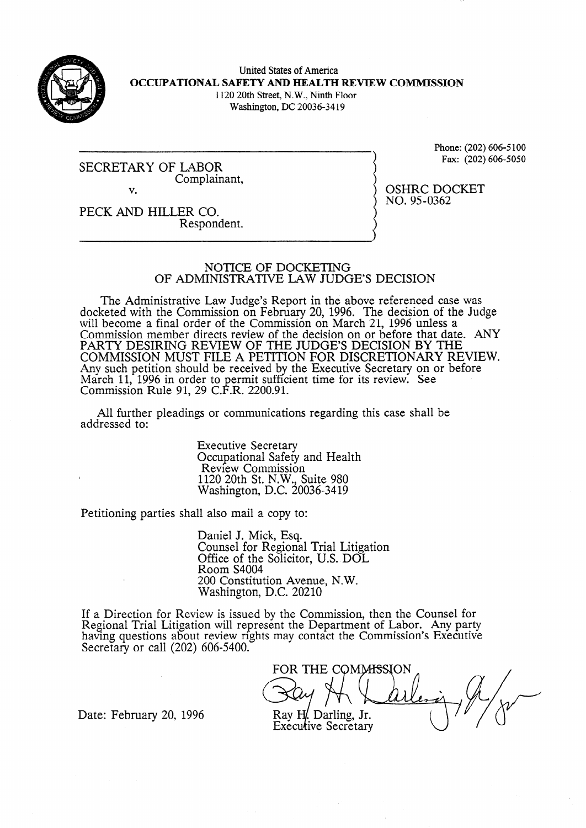

,

United States of America **OCCUPATIONAL SAFETY AND HEALTH REVIEW COMMISSION** 1120 20th Street, N.W., Ninth Floor Washington, DC 20036-34 19

SECRETARY OF LABOR Complainant, v.

Phone: (202) 606-5 100 Fax: (202) 606-5050

OSHRC DOCKET

NO. 95-0362

PECK AND HILLER CO. Respondent.

NOTICE OF DOCKETING

OF ADMINISTRATIVE LAW JUDGE'S DECISION

The Administrative Law Judge's Report in the above referenced case was docketed with the Commission on February 20, 1996. The decision of the Judge will become a final order of the Commission on March 21, 1996 unless a Commission member directs review of the decision on or before that date. ANY PARTY DESIRING REVIEW OF THE JUDGE'S DECISION BY THE COMMISSION MUST FILE A PETITION FOR DISCRETIONARY REVIEW. Any such petition should be received by the Executive Secretary on or before March 11, 1996 in order to permit sufficient time for its review. See Commission Rule 91, 29 C.F.R. 2200.91.

All further pleadings or communications regarding this case shall be addressed to:

> Executive Secretary Occupational Safety and Health Review Commission 1120 20th St. N.W., Suite 980 Washington, D.C. 20036-3419

Petitioning parties shall also mail a copy to:

Daniel J. Mick, Esq. Counsel for Regional Trial Litigation Office of the Solicitor, U.S. DOL Room S4004 200 Constitution Avenue, N.W. Washington, D.C. 20210

If a Direction for Review is issued by the Commission, then the Counsel for Regional Trial Litigation will represent the Department of Labor. Any party having questions about review rights may contact the Commission's Executive Secretary or call (202) 606-5400.

FOR THE COMMISSION

Date: February 20, 1996

Ray H<sub>.</sub> Darling, Jr. Executive Secretary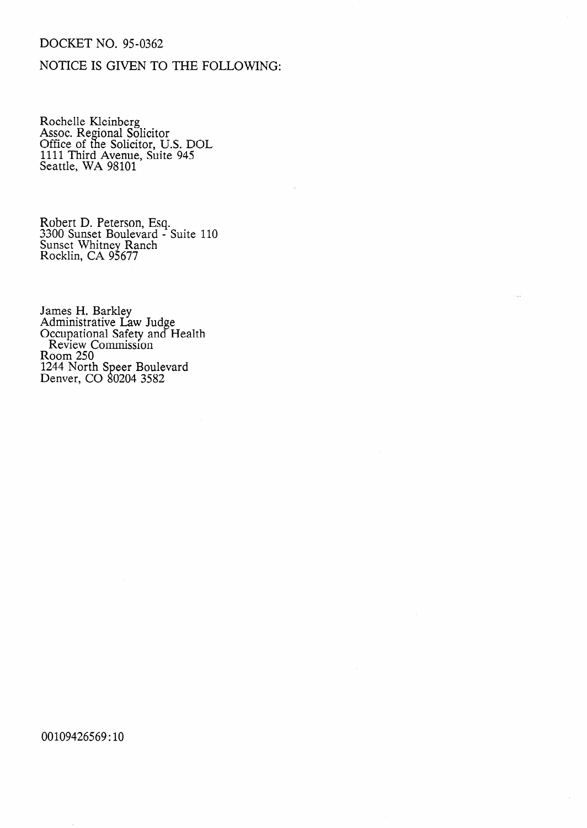# DOCKET NO. 95-0362

# NOTICE IS GIVEN TO THE FOLLOWING:

Rochelle Kleinberg Assoc. Regional Solicitor Office of the Solicitor, U.S. DOL 1111 Third Avenue, Suite 945 Seattle, WA 98101

Robert D. Peterson, Esq. 3300 Sunset Boulevard - Suite 110 Sunset Whitney Ranch Rocklin, CA 95677

James H. Barkley Administrative Law Judge Occupational Safety and Health Review Commission Room 250 1244 North Speer Boulevard Denver, CO 80204 3582

00109426569: 10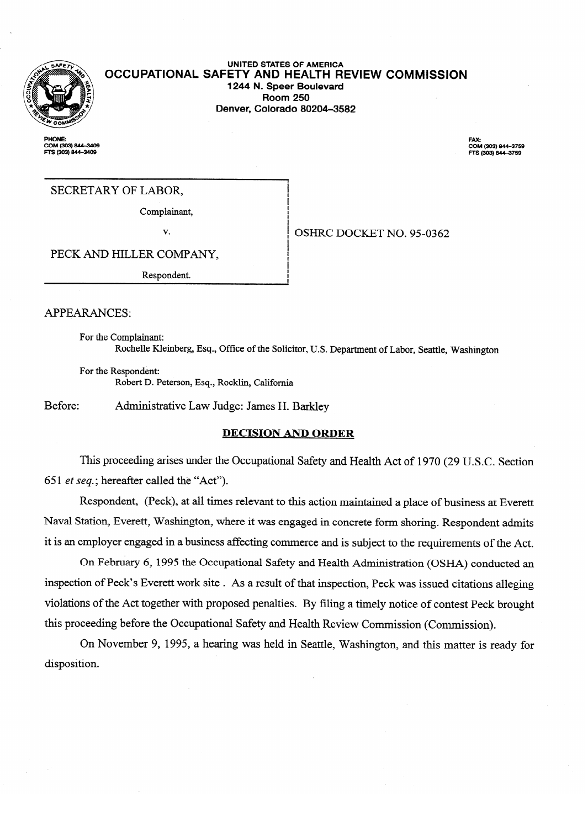

#### **UNITED STATES OF AMERICA OCCUPATIONAL SAFETY AND HEALTH REVIEW COMMISSION 1244 N. Speer Boulevard Room 250 Denver, Colorado 80204-3582**

i<br>! I i.

I i i<br>I

**PHONE:** COM (303) 844–3409<br>FTS (303) 844–3409 FAX: **20M (303) 844-3759**<br>FTS (303) 844-3759

OSHRC DOCKET NO. 95-0362  $\frac{1}{2}$  OSHRC DOCKET NO. 95-0362

PECK AND HILLER COMPANY,

PECK AND HILLER COMPANY, Respondent.

**APPEARANCES:** 

For the Complainant: Rochelle Kleinberg, Esq., Office of the Solicitor, U.S. Department of Labor, Seattle, Washington

 $R_{\rm C}$  , of the Solicitor, Office of the Solicitor, U.S. Department of Labor, Seattle, Washington, Seattle, Washington, Seattle, Washington, Seattle, Washington, Seattle, Washington, Seattle, Washington, Seattle, Washin Robert D. Peterson, Esq., Rocklin, California

Before: Administrative Law Judge: James H. Barkley

### **DECISION AND ORDER**

This proceeding arises under the Occupational Safety and Health Act of 1970 (29 U.S.C. Section 651 et seq.; hereafter called the "Act").

Respondent, (Peck), at all times relevant to this action maintained a place of business at Everett Naval Station, Everett, Washington, where it was engaged in concrete form shoring. Respondent admits it is an employer engaged in a business affecting commerce and is subject to the requirements of the Act.

On February 6, 1995 the Occupational Safety and Health Administration (OSHA) conducted an inspection of Peck's Everett work site. As a result of that inspection, Peck was issued citations alleging violations of the Act together with proposed penalties. By filing a timely notice of contest Peck brought this proceeding before the Occupational Safety and Health Review Commission (Commission).

On November 9, 1995, a hearing was held in Seattle, Washington, and this matter is ready for on November 9, 1995, a hearing was held in Seattle, Washington, Washington, and this matter is ready for ready for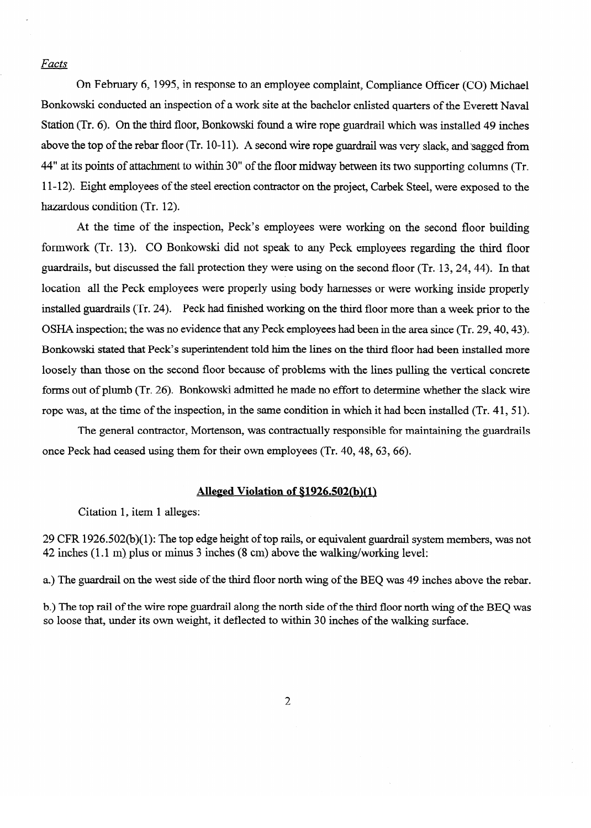#### Facts

On February 6, 1995, in response to an employee complaint, Compliance Officer (CO) Michael Bonkowski conducted an inspection of a work site at the bachelor enlisted quarters of the Everett Naval Station (Tr. 6). On the third floor, Bonkowski found a wire rope guardrail which was installed 49 inches above the top of the rebar floor (Tr. 10-11). A second wire rope guardrail was very slack, and sagged from 44" at its points of attachment to within 30" of the floor midway between its two supporting columns (Tr. 11-12). Eight employees of the steel erection contractor on the project, Carbek Steel, were exposed to the hazardous condition (Tr. 12).

At the time of the inspection, Peck's employees were working on the second floor building<br>formwork (Tr. 13). CO Bonkowski did not speak to any Peck employees regarding the third floor guardrails, but discussed the fall protection they were using on the second floor (Tr. 13, 24, 44). In that location all the Peck employees were properly using body harnesses or were working inside properly installed guardrails (Tr. 24). Peck had finished working on the third floor more than a week prior to the OSHA inspection; the was no evidence that any Peck employees had been in the area since (Tr. 29, 40, 43). Bonkowski stated that Peck's superintendent told him the lines on the third floor had been installed more loosely than those on the second floor because of problems with the lines pulling the vertical concrete forms out of plumb (Tr. 26). Bonkowski admitted he made no effort to determine whether the slack wire rope was, at the time of the inspection, in the same condition in which it had been installed (Tr. 41, 51).

The general contractor, Mortenson, was contractually responsible for maintaining the guardrails once Peck had ceased using them for their own employees (Tr.  $40, 48, 63, 66$ ).

## Alleged Violation of §1926.502(b)(1)

**Alleged Violation of \$1926.502(b)(l)** 

29 CFR 1926.502(b)(1): The top edge height of top rails, or equivalent guardrail system members, was not 42 inches (1.1 m) plus or minus 3 inches (8 cm) above the walking/working level:

a.) The guardrail on the west side of the third floor north wing of the BEQ was 49 inches above the rebar.

b.) The top rail of the wire rope guardrail along the north side of the third floor north wing of the BEO was so loose that, under its own weight, it deflected to within 30 inches of the walking surface. b.) The top rail of the wire rope guardrail along the north side of the third floor north wing of the BEQ was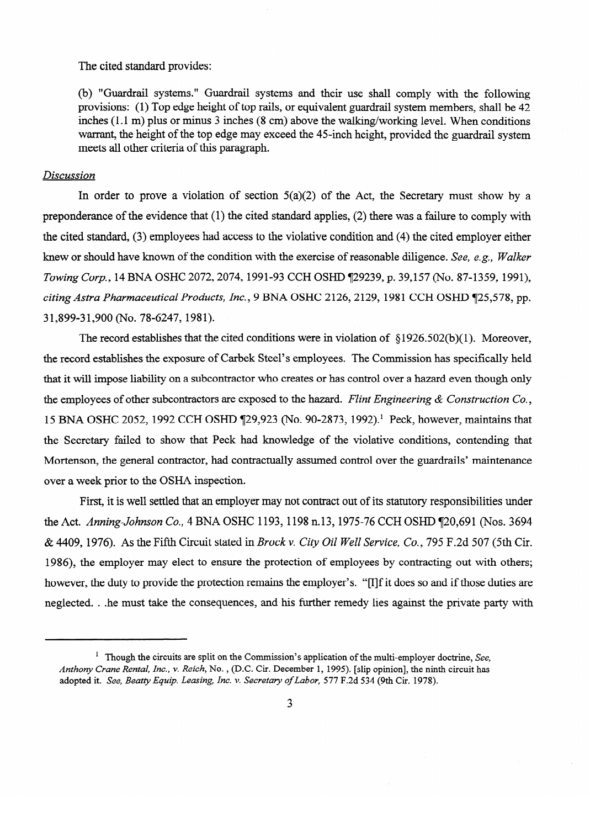The cited standard provides:

(b) "Guardrail systems." Guardrail systems and their use shall comply with the following provisions: (1) Top edge height of top rails, or equivalent guardrail system members, shall be 42 inches  $(1.1 \text{ m})$  plus or minus 3 inches  $(8 \text{ cm})$  above the walking/working level. When conditions inches (1.1 m) plus or minus 3 inches (8 cm) above the walking/working level. When conditions warrant, the height of the top edge may execut the 45-inch height, provided the guardrail system meets all other criteria of this paragraph.

#### *Discussion*

In order to prove a violation of section  $5(a)(2)$  of the Act, the Secretary must show by a preponderance of the evidence that (1) the cited standard applies, (2) there was a failure to comply with the cited standard,  $(3)$  employees had access to the violative condition and  $(4)$  the cited employer either knew or should have known of the condition with the exercise of reasonable diligence. See, e.g., Walker Towing Corp., 14 BNA OSHC 2072, 2074, 1991-93 CCH OSHD 129239, p. 39,157 (No. 87-1359, 1991), citing Astra Pharmaceutical Products, Inc., 9 BNA OSHC 2126, 2129, 1981 CCH OSHD 125,578, pp. 31,899-31,900 (No. 78-6247, 1981).

The record establishes that the cited conditions were in violation of  $\S 1926.502(b)(1)$ . Moreover, the record establishes the exposure of Carbek Steel's employees. The Commission has specifically held that it will impose liability on a subcontractor who creates or has control over a hazard even though only the employees of other subcontractors are exposed to the hazard. Flint Engineering & Construction Co., 15 BNA OSHC 2052, 1992 CCH OSHD 129,923 (No. 90-2873, 1992).<sup>1</sup> Peck, however, maintains that the Secretary failed to show that Peck had knowledge of the violative conditions, contending that Mortenson, the general contractor, had contractually assumed control over the guardrails' maintenance over a week prior to the OSHA inspection.

First, it is well settled that an employer may not contract out of its statutory responsibilities under the Act. Anning-Johnson Co., 4 BNA OSHC 1193, 1198 n.13, 1975-76 CCH OSHD 120,691 (Nos. 3694  $\&$  4409, 1976). As the Fifth Circuit stated in *Brock v. City Oil Well Service, Co.*, 795 F.2d 507 (5th Cir. 1986), the employer may elect to ensure the protection of employees by contracting out with others; however, the duty to provide the protection remains the employer's. "[I]f it does so and if those duties are however, the duty to provide the consequences, and his further remedy lies against the private party with

<sup>&</sup>lt;sup>1</sup> Though the circuits are split on the Commission's application of the multi-employer doctrine, See. Anthony Crane Rental, Inc., v. Reich, No., (D.C. Cir. December 1, 1995). [slip opinion], the ninth circuit has adopted it. See, Beatty Equip. Leasing, Inc. v. Secretary of Labor, 577 F.2d 534 (9th Cir. 1978).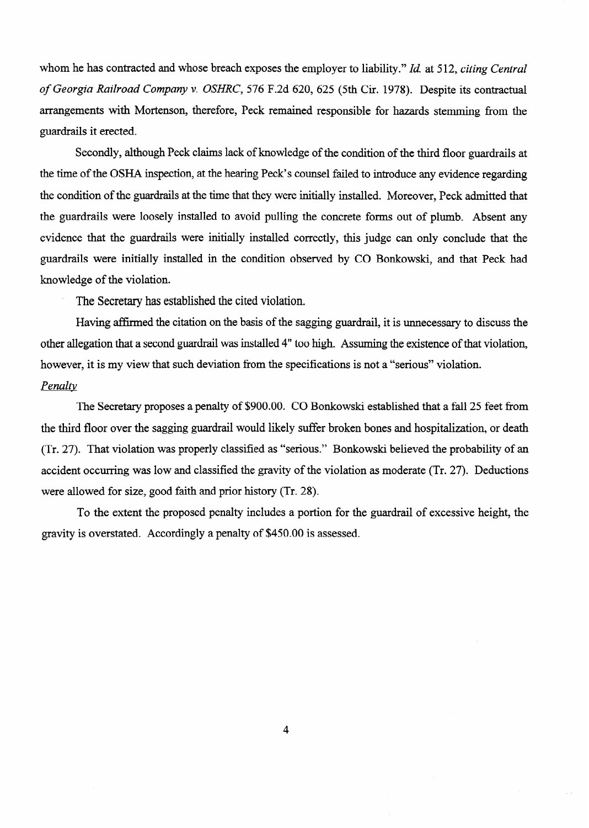whom he has contracted and whose breach exposes the employer to liability." *Id.* at *5* 12, *citing Central of Georgia Railroad Company* v. *OSHRC,* 576 F.2d 620, 625 (5th Cir. 1978). Despite its contractual arrangements with Mortenson, therefore, Peck remained responsible for hazards stemming from the guardrails it erected.

Secondly, although Peck claims lack of knowledge of the condition of the third floor guardrails at the time of the OSHA inspection, at the hearing Peck's counsel failed to introduce any evidence regarding the condition of the guardrails at the time that they were initially installed. Moreover, Peck admitted that the guardrails were loosely installed to avoid pulling the concrete forms out of plumb. Absent any evidence that the guardrails were initially installed correctly, this judge can only conclude that the guardrails were initially installed in the condition observed by CO Bonkowski, and that Peck had knowledge of the violation.

. The Secretary has established the cited violation.

Having affirmed the citation on the basis of the sagging guardrail, it is unnecessary to discuss the other allegation that a second guardrail was installed 4" too high. Assuming the existence of that violation, however, it is my view that such deviation from the specifications is not a "serious" violation. *Penalty* 

The Secretary proposes a penalty of \$900.00. CO Bonkowski established that a fall 25 feet from the third floor over the sagging guardrail would likely suffer broken bones and hospitalization, or death (Tr. 27). That violation was properly classified as "serious." Bonkowski believed the probability of an accident occurring was low and classified the gravity of the violation as moderate (Tr. 27). Deductions were allowed for size, good faith and prior history (Tr. 28).

To the extent the proposed penalty includes a portion for the guardrail of excessive height, the gravity is overstated. Accordingly a penalty of \$450.00 is assessed.